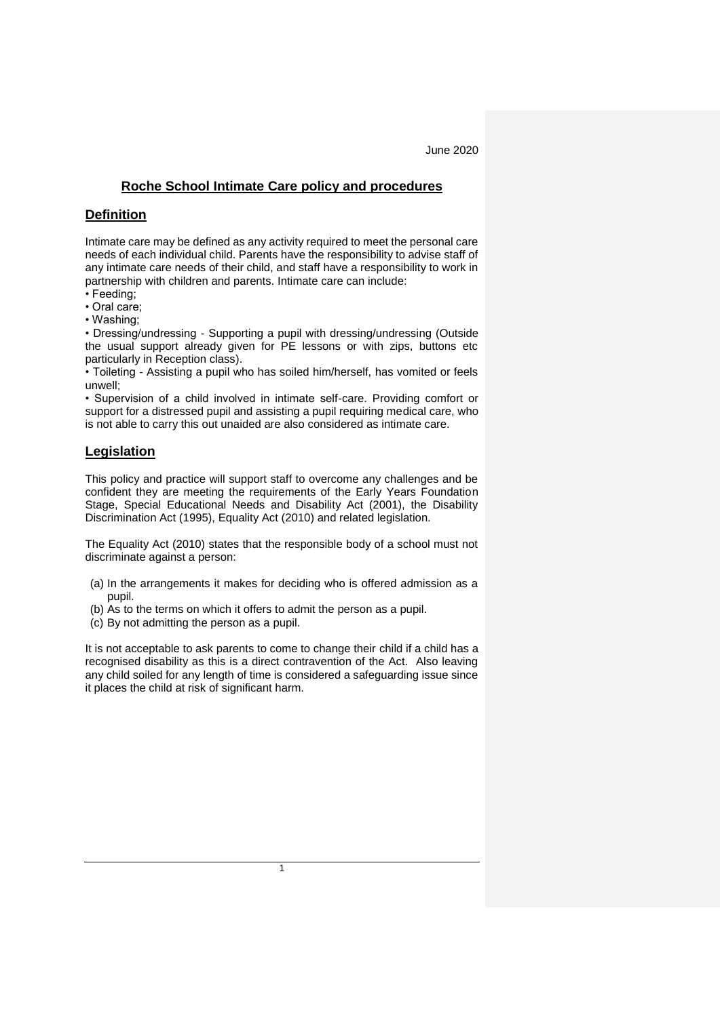## **Roche School Intimate Care policy and procedures**

## **Definition**

Intimate care may be defined as any activity required to meet the personal care needs of each individual child. Parents have the responsibility to advise staff of any intimate care needs of their child, and staff have a responsibility to work in partnership with children and parents. Intimate care can include:

- Feeding;
- Oral care;
- Washing;

• Dressing/undressing - Supporting a pupil with dressing/undressing (Outside the usual support already given for PE lessons or with zips, buttons etc particularly in Reception class).

• Toileting - Assisting a pupil who has soiled him/herself, has vomited or feels unwell;

• Supervision of a child involved in intimate self-care. Providing comfort or support for a distressed pupil and assisting a pupil requiring medical care, who is not able to carry this out unaided are also considered as intimate care.

# **Legislation**

This policy and practice will support staff to overcome any challenges and be confident they are meeting the requirements of the Early Years Foundation Stage, Special Educational Needs and Disability Act (2001), the Disability Discrimination Act (1995), Equality Act (2010) and related legislation.

The Equality Act (2010) states that the responsible body of a school must not discriminate against a person:

- (a) In the arrangements it makes for deciding who is offered admission as a pupil.
- (b) As to the terms on which it offers to admit the person as a pupil.
- (c) By not admitting the person as a pupil.

It is not acceptable to ask parents to come to change their child if a child has a recognised disability as this is a direct contravention of the Act. Also leaving any child soiled for any length of time is considered a safeguarding issue since it places the child at risk of significant harm.

1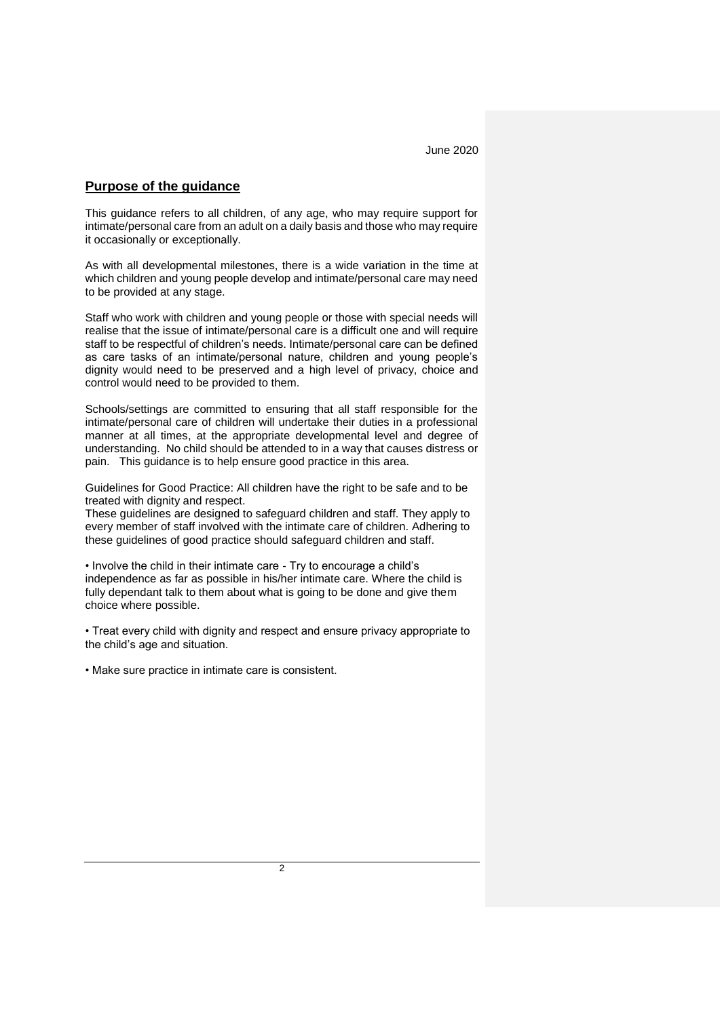#### **Purpose of the guidance**

This guidance refers to all children, of any age, who may require support for intimate/personal care from an adult on a daily basis and those who may require it occasionally or exceptionally.

As with all developmental milestones, there is a wide variation in the time at which children and young people develop and intimate/personal care may need to be provided at any stage.

Staff who work with children and young people or those with special needs will realise that the issue of intimate/personal care is a difficult one and will require staff to be respectful of children's needs. Intimate/personal care can be defined as care tasks of an intimate/personal nature, children and young people's dignity would need to be preserved and a high level of privacy, choice and control would need to be provided to them.

Schools/settings are committed to ensuring that all staff responsible for the intimate/personal care of children will undertake their duties in a professional manner at all times, at the appropriate developmental level and degree of understanding. No child should be attended to in a way that causes distress or pain. This guidance is to help ensure good practice in this area.

Guidelines for Good Practice: All children have the right to be safe and to be treated with dignity and respect.

These guidelines are designed to safeguard children and staff. They apply to every member of staff involved with the intimate care of children. Adhering to these guidelines of good practice should safeguard children and staff.

• Involve the child in their intimate care - Try to encourage a child's independence as far as possible in his/her intimate care. Where the child is fully dependant talk to them about what is going to be done and give them choice where possible.

• Treat every child with dignity and respect and ensure privacy appropriate to the child's age and situation.

• Make sure practice in intimate care is consistent.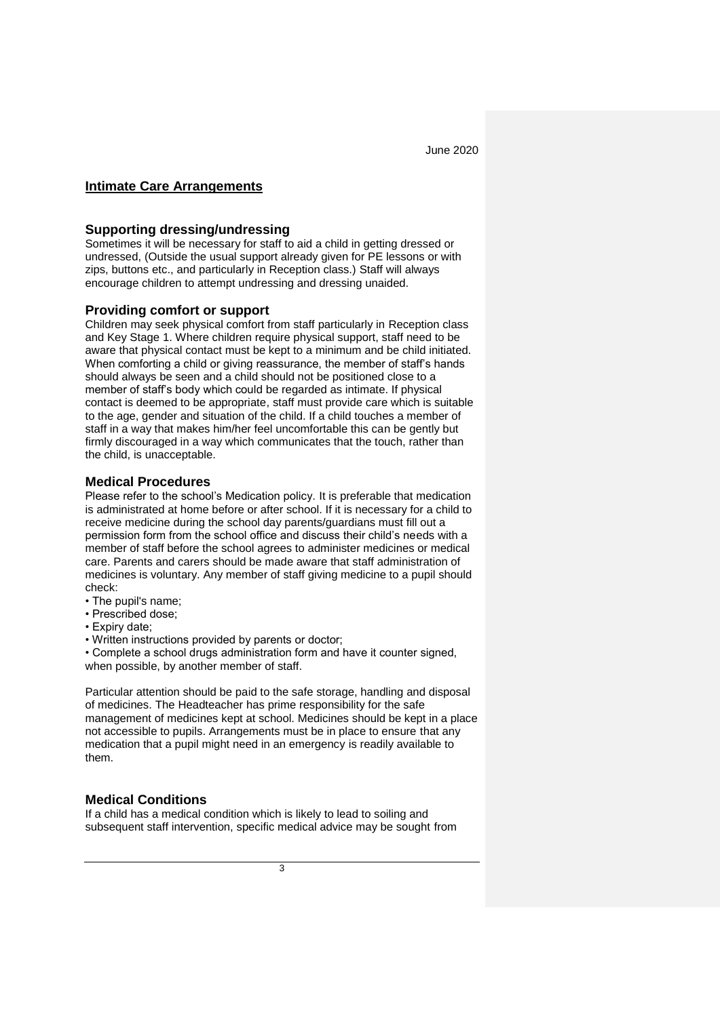### **Intimate Care Arrangements**

### **Supporting dressing/undressing**

Sometimes it will be necessary for staff to aid a child in getting dressed or undressed, (Outside the usual support already given for PE lessons or with zips, buttons etc., and particularly in Reception class.) Staff will always encourage children to attempt undressing and dressing unaided.

#### **Providing comfort or support**

Children may seek physical comfort from staff particularly in Reception class and Key Stage 1. Where children require physical support, staff need to be aware that physical contact must be kept to a minimum and be child initiated. When comforting a child or giving reassurance, the member of staff's hands should always be seen and a child should not be positioned close to a member of staff's body which could be regarded as intimate. If physical contact is deemed to be appropriate, staff must provide care which is suitable to the age, gender and situation of the child. If a child touches a member of staff in a way that makes him/her feel uncomfortable this can be gently but firmly discouraged in a way which communicates that the touch, rather than the child, is unacceptable.

### **Medical Procedures**

Please refer to the school's Medication policy. It is preferable that medication is administrated at home before or after school. If it is necessary for a child to receive medicine during the school day parents/guardians must fill out a permission form from the school office and discuss their child's needs with a member of staff before the school agrees to administer medicines or medical care. Parents and carers should be made aware that staff administration of medicines is voluntary. Any member of staff giving medicine to a pupil should check:

- The pupil's name;
- Prescribed dose;
- Expiry date;
- Written instructions provided by parents or doctor;

• Complete a school drugs administration form and have it counter signed, when possible, by another member of staff.

Particular attention should be paid to the safe storage, handling and disposal of medicines. The Headteacher has prime responsibility for the safe management of medicines kept at school. Medicines should be kept in a place not accessible to pupils. Arrangements must be in place to ensure that any medication that a pupil might need in an emergency is readily available to them.

## **Medical Conditions**

If a child has a medical condition which is likely to lead to soiling and subsequent staff intervention, specific medical advice may be sought from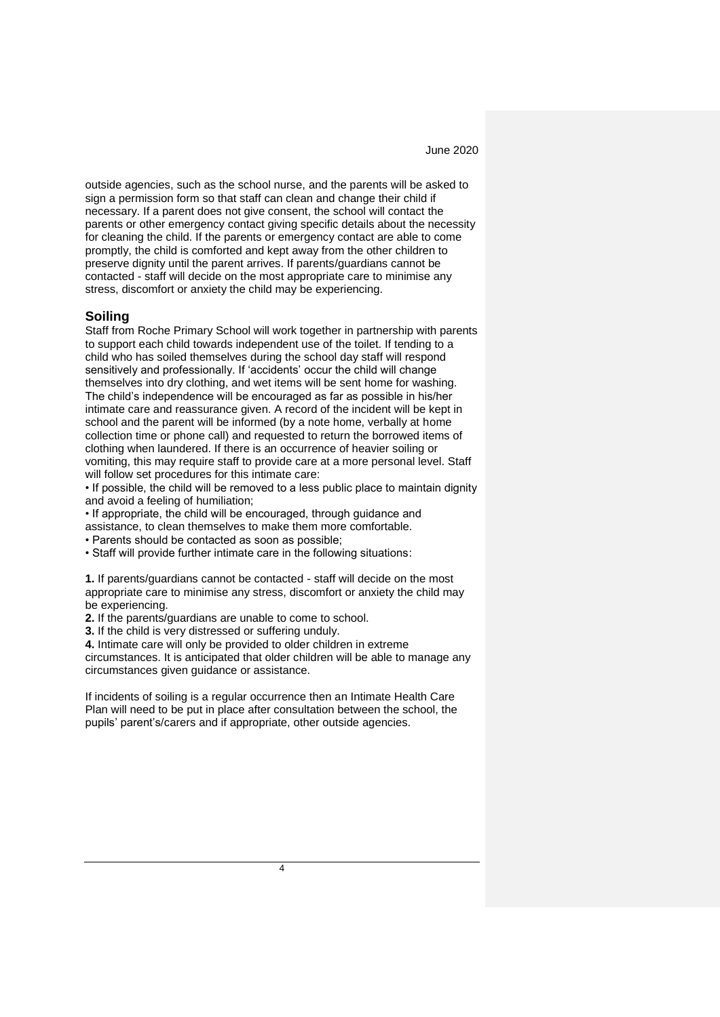outside agencies, such as the school nurse, and the parents will be asked to sign a permission form so that staff can clean and change their child if necessary. If a parent does not give consent, the school will contact the parents or other emergency contact giving specific details about the necessity for cleaning the child. If the parents or emergency contact are able to come promptly, the child is comforted and kept away from the other children to preserve dignity until the parent arrives. If parents/guardians cannot be contacted - staff will decide on the most appropriate care to minimise any stress, discomfort or anxiety the child may be experiencing.

#### **Soiling**

Staff from Roche Primary School will work together in partnership with parents to support each child towards independent use of the toilet. If tending to a child who has soiled themselves during the school day staff will respond sensitively and professionally. If 'accidents' occur the child will change themselves into dry clothing, and wet items will be sent home for washing. The child's independence will be encouraged as far as possible in his/her intimate care and reassurance given. A record of the incident will be kept in school and the parent will be informed (by a note home, verbally at home collection time or phone call) and requested to return the borrowed items of clothing when laundered. If there is an occurrence of heavier soiling or vomiting, this may require staff to provide care at a more personal level. Staff will follow set procedures for this intimate care:

• If possible, the child will be removed to a less public place to maintain dignity and avoid a feeling of humiliation;

• If appropriate, the child will be encouraged, through guidance and

assistance, to clean themselves to make them more comfortable.

• Parents should be contacted as soon as possible;

• Staff will provide further intimate care in the following situations:

**1.** If parents/guardians cannot be contacted - staff will decide on the most appropriate care to minimise any stress, discomfort or anxiety the child may be experiencing.

**2.** If the parents/guardians are unable to come to school.

**3.** If the child is very distressed or suffering unduly.

**4.** Intimate care will only be provided to older children in extreme

circumstances. It is anticipated that older children will be able to manage any circumstances given guidance or assistance.

If incidents of soiling is a regular occurrence then an Intimate Health Care Plan will need to be put in place after consultation between the school, the pupils' parent's/carers and if appropriate, other outside agencies.

4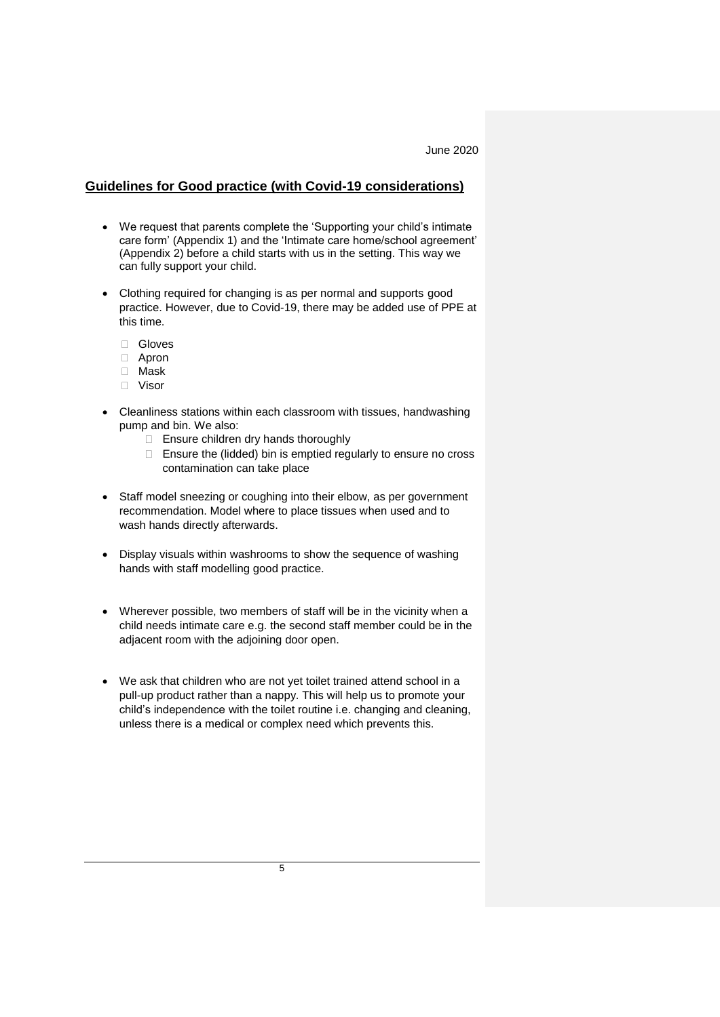### **Guidelines for Good practice (with Covid-19 considerations)**

- We request that parents complete the 'Supporting your child's intimate care form' (Appendix 1) and the 'Intimate care home/school agreement' (Appendix 2) before a child starts with us in the setting. This way we can fully support your child.
- Clothing required for changing is as per normal and supports good practice. However, due to Covid-19, there may be added use of PPE at this time.
	- Gloves
	- Apron
	- Mask
	- Visor
- Cleanliness stations within each classroom with tissues, handwashing pump and bin. We also:
	- $\Box$  Ensure children dry hands thoroughly
	- $\Box$  Ensure the (lidded) bin is emptied regularly to ensure no cross contamination can take place
- Staff model sneezing or coughing into their elbow, as per government recommendation. Model where to place tissues when used and to wash hands directly afterwards.
- Display visuals within washrooms to show the sequence of washing hands with staff modelling good practice.
- Wherever possible, two members of staff will be in the vicinity when a child needs intimate care e.g. the second staff member could be in the adjacent room with the adjoining door open.
- We ask that children who are not yet toilet trained attend school in a pull-up product rather than a nappy. This will help us to promote your child's independence with the toilet routine i.e. changing and cleaning, unless there is a medical or complex need which prevents this.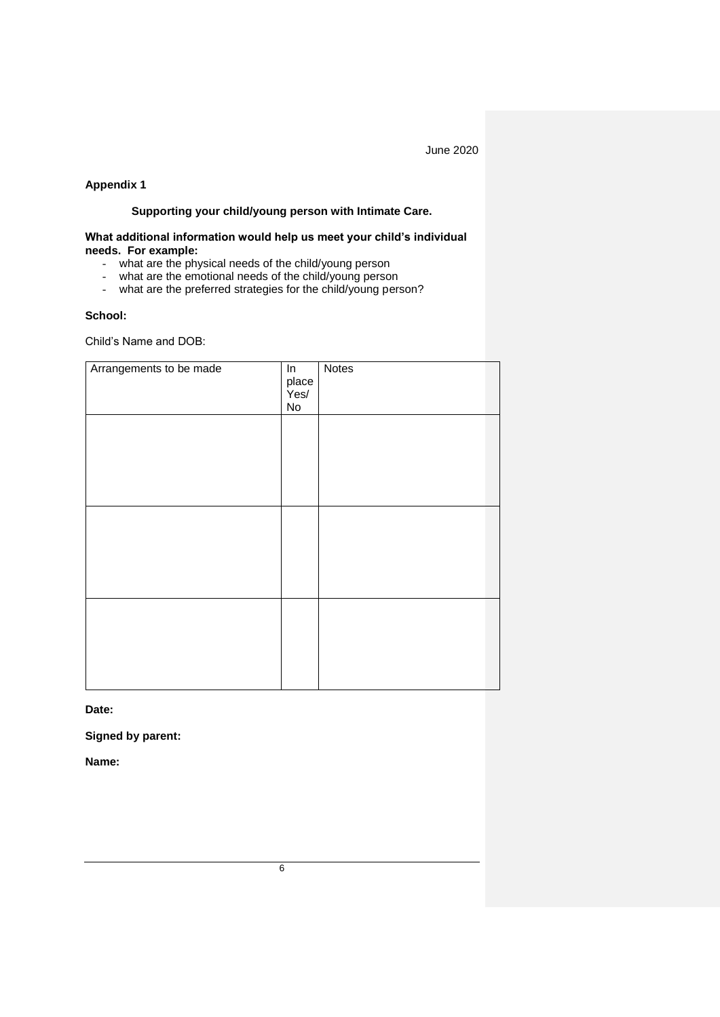## **Appendix 1**

## **Supporting your child/young person with Intimate Care.**

### **What additional information would help us meet your child's individual needs. For example:**

- what are the physical needs of the child/young person
- what are the emotional needs of the child/young person<br>- what are the preferred strategies for the child/young person
- what are the preferred strategies for the child/young person?

#### **School:**

Child's Name and DOB:

| Arrangements to be made | $\overline{\mathsf{In}}$<br>place<br>Yes/<br>$\operatorname{\mathsf{No}}$ | Notes |
|-------------------------|---------------------------------------------------------------------------|-------|
|                         |                                                                           |       |
|                         |                                                                           |       |
|                         |                                                                           |       |
|                         |                                                                           |       |
|                         |                                                                           |       |
|                         |                                                                           |       |

**Date:**

**Signed by parent:**

**Name:**